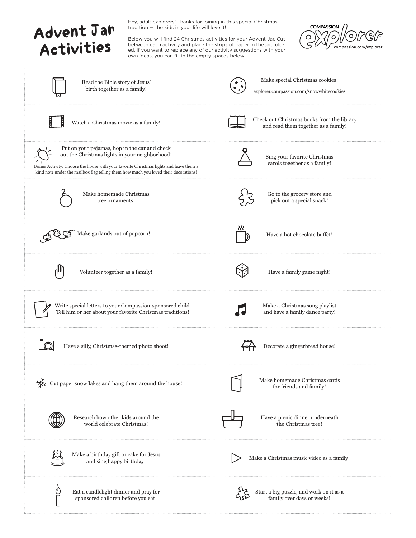

Hey, adult explorers! Thanks for joining in this special Christmas tradition — the kids in your life will love it!

Below you will find 24 Christmas activities for your Advent Jar. Cut between each activity and place the strips of paper in the jar, folded. If you want to replace any of our activity suggestions with your own ideas, you can fill in the empty spaces below!



| Read the Bible story of Jesus'<br>birth together as a family!                                                                                                                                                                                                                   | Make special Christmas cookies!<br>explorer.compassion.com/snowwhitecookies       |
|---------------------------------------------------------------------------------------------------------------------------------------------------------------------------------------------------------------------------------------------------------------------------------|-----------------------------------------------------------------------------------|
| Watch a Christmas movie as a family!                                                                                                                                                                                                                                            | Check out Christmas books from the library<br>and read them together as a family! |
| Put on your pajamas, hop in the car and check<br>out the Christmas lights in your neighborhood!<br>Bonus Activity: Choose the house with your favorite Christmas lights and leave them a<br>kind note under the mailbox flag telling them how much you loved their decorations! | Sing your favorite Christmas<br>carols together as a family!                      |
| Make homemade Christmas<br>tree ornaments!                                                                                                                                                                                                                                      | Go to the grocery store and<br>pick out a special snack!                          |
| Make garlands out of popcorn!                                                                                                                                                                                                                                                   | Have a hot chocolate buffet!                                                      |
| Volunteer together as a family!                                                                                                                                                                                                                                                 | Have a family game night!                                                         |
| Write special letters to your Compassion-sponsored child.<br>Tell him or her about your favorite Christmas traditions!                                                                                                                                                          | Make a Christmas song playlist<br>and have a family dance party!                  |
| Have a silly, Christmas-themed photo shoot!                                                                                                                                                                                                                                     | Decorate a gingerbread house!                                                     |
| Cut paper snowflakes and hang them around the house!                                                                                                                                                                                                                            | Make homemade Christmas cards<br>for friends and family!                          |
| Research how other kids around the<br>world celebrate Christmas!                                                                                                                                                                                                                | Have a picnic dinner underneath<br>the Christmas tree!                            |
| Make a birthday gift or cake for Jesus<br>and sing happy birthday!                                                                                                                                                                                                              | Make a Christmas music video as a family!                                         |
| Eat a candlelight dinner and pray for<br>sponsored children before you eat!                                                                                                                                                                                                     | Start a big puzzle, and work on it as a<br>family over days or weeks!             |